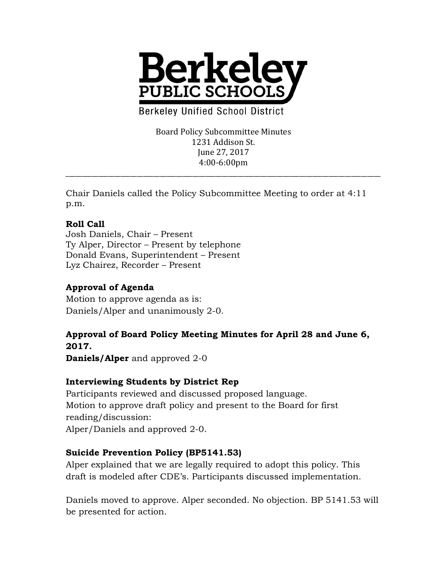

**Berkeley Unified School District** 

Board Policy Subcommittee Minutes 1231 Addison St. June 27, 2017 4:00-6:00pm

\_\_\_\_\_\_\_\_\_\_\_\_\_\_\_\_\_\_\_\_\_\_\_\_\_\_\_\_\_\_\_\_\_\_\_\_\_\_\_\_\_\_\_\_\_\_\_\_\_\_\_\_\_\_\_\_\_\_\_\_\_\_\_\_\_\_\_\_\_\_\_\_\_\_\_\_\_\_\_\_\_\_\_\_\_\_\_\_\_\_\_\_\_\_\_\_\_

Chair Daniels called the Policy Subcommittee Meeting to order at 4:11 p.m.

### **Roll Call**

Josh Daniels, Chair – Present Ty Alper, Director – Present by telephone Donald Evans, Superintendent – Present Lyz Chairez, Recorder – Present

# **Approval of Agenda**

Motion to approve agenda as is: Daniels/Alper and unanimously 2-0.

#### **Approval of Board Policy Meeting Minutes for April 28 and June 6, 2017.**

**Daniels/Alper** and approved 2-0

### **Interviewing Students by District Rep**

Participants reviewed and discussed proposed language. Motion to approve draft policy and present to the Board for first reading/discussion: Alper/Daniels and approved 2-0.

### **Suicide Prevention Policy (BP5141.53)**

Alper explained that we are legally required to adopt this policy. This draft is modeled after CDE's. Participants discussed implementation.

Daniels moved to approve. Alper seconded. No objection. BP 5141.53 will be presented for action.